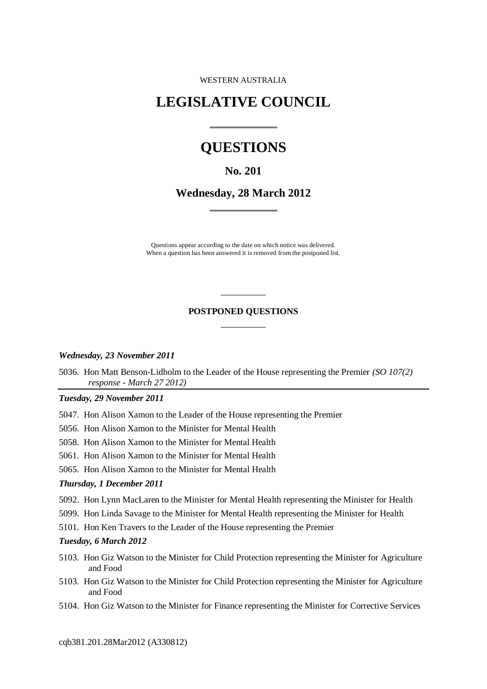WESTERN AUSTRALIA

# **LEGISLATIVE COUNCIL**

 $\overline{a}$ 

 $\overline{a}$ 

# **QUESTIONS**

## **No. 201**

**Wednesday, 28 March 2012**

Questions appear according to the date on which notice was delivered. When a question has been answered it is removed from the postponed list.

#### **POSTPONED QUESTIONS**

 $\overline{a}$ 

 $\overline{a}$ 

#### *Wednesday, 23 November 2011*

5036. Hon Matt Benson-Lidholm to the Leader of the House representing the Premier *(SO 107(2) response - March 27 2012)*

#### *Tuesday, 29 November 2011*

- 5047. Hon Alison Xamon to the Leader of the House representing the Premier
- 5056. Hon Alison Xamon to the Minister for Mental Health
- 5058. Hon Alison Xamon to the Minister for Mental Health
- 5061. Hon Alison Xamon to the Minister for Mental Health
- 5065. Hon Alison Xamon to the Minister for Mental Health

#### *Thursday, 1 December 2011*

- 5092. Hon Lynn MacLaren to the Minister for Mental Health representing the Minister for Health
- 5099. Hon Linda Savage to the Minister for Mental Health representing the Minister for Health
- 5101. Hon Ken Travers to the Leader of the House representing the Premier

#### *Tuesday, 6 March 2012*

- 5103. Hon Giz Watson to the Minister for Child Protection representing the Minister for Agriculture and Food
- 5103. Hon Giz Watson to the Minister for Child Protection representing the Minister for Agriculture and Food
- 5104. Hon Giz Watson to the Minister for Finance representing the Minister for Corrective Services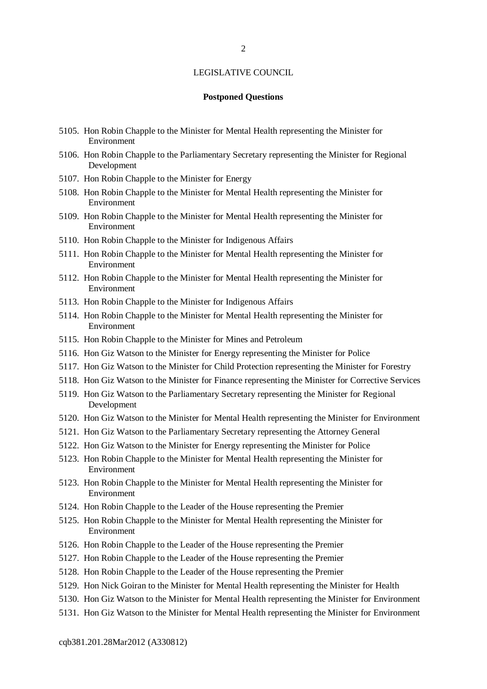#### **Postponed Questions**

- 5105. Hon Robin Chapple to the Minister for Mental Health representing the Minister for Environment
- 5106. Hon Robin Chapple to the Parliamentary Secretary representing the Minister for Regional Development
- 5107. Hon Robin Chapple to the Minister for Energy
- 5108. Hon Robin Chapple to the Minister for Mental Health representing the Minister for Environment
- 5109. Hon Robin Chapple to the Minister for Mental Health representing the Minister for Environment
- 5110. Hon Robin Chapple to the Minister for Indigenous Affairs
- 5111. Hon Robin Chapple to the Minister for Mental Health representing the Minister for Environment
- 5112. Hon Robin Chapple to the Minister for Mental Health representing the Minister for Environment
- 5113. Hon Robin Chapple to the Minister for Indigenous Affairs
- 5114. Hon Robin Chapple to the Minister for Mental Health representing the Minister for Environment
- 5115. Hon Robin Chapple to the Minister for Mines and Petroleum
- 5116. Hon Giz Watson to the Minister for Energy representing the Minister for Police
- 5117. Hon Giz Watson to the Minister for Child Protection representing the Minister for Forestry
- 5118. Hon Giz Watson to the Minister for Finance representing the Minister for Corrective Services
- 5119. Hon Giz Watson to the Parliamentary Secretary representing the Minister for Regional Development
- 5120. Hon Giz Watson to the Minister for Mental Health representing the Minister for Environment
- 5121. Hon Giz Watson to the Parliamentary Secretary representing the Attorney General
- 5122. Hon Giz Watson to the Minister for Energy representing the Minister for Police
- 5123. Hon Robin Chapple to the Minister for Mental Health representing the Minister for Environment
- 5123. Hon Robin Chapple to the Minister for Mental Health representing the Minister for Environment
- 5124. Hon Robin Chapple to the Leader of the House representing the Premier
- 5125. Hon Robin Chapple to the Minister for Mental Health representing the Minister for Environment
- 5126. Hon Robin Chapple to the Leader of the House representing the Premier
- 5127. Hon Robin Chapple to the Leader of the House representing the Premier
- 5128. Hon Robin Chapple to the Leader of the House representing the Premier
- 5129. Hon Nick Goiran to the Minister for Mental Health representing the Minister for Health
- 5130. Hon Giz Watson to the Minister for Mental Health representing the Minister for Environment
- 5131. Hon Giz Watson to the Minister for Mental Health representing the Minister for Environment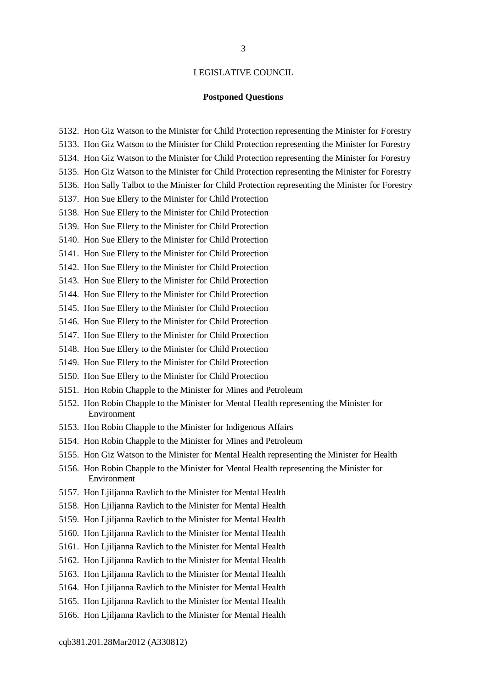#### **Postponed Questions**

- 5132. Hon Giz Watson to the Minister for Child Protection representing the Minister for Forestry
- 5133. Hon Giz Watson to the Minister for Child Protection representing the Minister for Forestry
- 5134. Hon Giz Watson to the Minister for Child Protection representing the Minister for Forestry
- 5135. Hon Giz Watson to the Minister for Child Protection representing the Minister for Forestry
- 5136. Hon Sally Talbot to the Minister for Child Protection representing the Minister for Forestry
- 5137. Hon Sue Ellery to the Minister for Child Protection
- 5138. Hon Sue Ellery to the Minister for Child Protection
- 5139. Hon Sue Ellery to the Minister for Child Protection
- 5140. Hon Sue Ellery to the Minister for Child Protection
- 5141. Hon Sue Ellery to the Minister for Child Protection
- 5142. Hon Sue Ellery to the Minister for Child Protection
- 5143. Hon Sue Ellery to the Minister for Child Protection
- 5144. Hon Sue Ellery to the Minister for Child Protection
- 5145. Hon Sue Ellery to the Minister for Child Protection
- 5146. Hon Sue Ellery to the Minister for Child Protection
- 5147. Hon Sue Ellery to the Minister for Child Protection
- 5148. Hon Sue Ellery to the Minister for Child Protection
- 5149. Hon Sue Ellery to the Minister for Child Protection
- 5150. Hon Sue Ellery to the Minister for Child Protection
- 5151. Hon Robin Chapple to the Minister for Mines and Petroleum
- 5152. Hon Robin Chapple to the Minister for Mental Health representing the Minister for Environment
- 5153. Hon Robin Chapple to the Minister for Indigenous Affairs
- 5154. Hon Robin Chapple to the Minister for Mines and Petroleum
- 5155. Hon Giz Watson to the Minister for Mental Health representing the Minister for Health
- 5156. Hon Robin Chapple to the Minister for Mental Health representing the Minister for Environment
- 5157. Hon Ljiljanna Ravlich to the Minister for Mental Health
- 5158. Hon Ljiljanna Ravlich to the Minister for Mental Health
- 5159. Hon Ljiljanna Ravlich to the Minister for Mental Health
- 5160. Hon Ljiljanna Ravlich to the Minister for Mental Health
- 5161. Hon Ljiljanna Ravlich to the Minister for Mental Health
- 5162. Hon Ljiljanna Ravlich to the Minister for Mental Health
- 5163. Hon Ljiljanna Ravlich to the Minister for Mental Health
- 5164. Hon Ljiljanna Ravlich to the Minister for Mental Health
- 5165. Hon Ljiljanna Ravlich to the Minister for Mental Health
- 5166. Hon Ljiljanna Ravlich to the Minister for Mental Health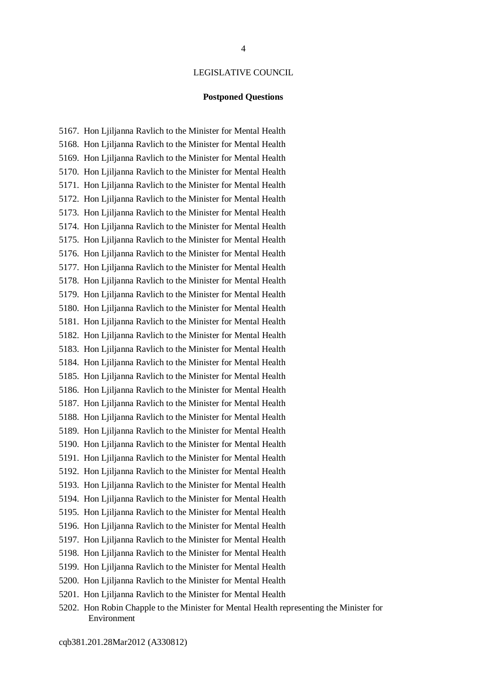### **Postponed Questions**

5167. Hon Ljiljanna Ravlich to the Minister for Mental Health 5168. Hon Ljiljanna Ravlich to the Minister for Mental Health 5169. Hon Ljiljanna Ravlich to the Minister for Mental Health 5170. Hon Ljiljanna Ravlich to the Minister for Mental Health 5171. Hon Ljiljanna Ravlich to the Minister for Mental Health 5172. Hon Ljiljanna Ravlich to the Minister for Mental Health 5173. Hon Ljiljanna Ravlich to the Minister for Mental Health 5174. Hon Ljiljanna Ravlich to the Minister for Mental Health 5175. Hon Ljiljanna Ravlich to the Minister for Mental Health 5176. Hon Ljiljanna Ravlich to the Minister for Mental Health 5177. Hon Ljiljanna Ravlich to the Minister for Mental Health 5178. Hon Ljiljanna Ravlich to the Minister for Mental Health 5179. Hon Ljiljanna Ravlich to the Minister for Mental Health 5180. Hon Ljiljanna Ravlich to the Minister for Mental Health 5181. Hon Ljiljanna Ravlich to the Minister for Mental Health 5182. Hon Ljiljanna Ravlich to the Minister for Mental Health 5183. Hon Ljiljanna Ravlich to the Minister for Mental Health 5184. Hon Ljiljanna Ravlich to the Minister for Mental Health 5185. Hon Ljiljanna Ravlich to the Minister for Mental Health 5186. Hon Ljiljanna Ravlich to the Minister for Mental Health 5187. Hon Ljiljanna Ravlich to the Minister for Mental Health 5188. Hon Ljiljanna Ravlich to the Minister for Mental Health 5189. Hon Ljiljanna Ravlich to the Minister for Mental Health 5190. Hon Ljiljanna Ravlich to the Minister for Mental Health 5191. Hon Ljiljanna Ravlich to the Minister for Mental Health 5192. Hon Ljiljanna Ravlich to the Minister for Mental Health 5193. Hon Ljiljanna Ravlich to the Minister for Mental Health 5194. Hon Ljiljanna Ravlich to the Minister for Mental Health 5195. Hon Ljiljanna Ravlich to the Minister for Mental Health 5196. Hon Ljiljanna Ravlich to the Minister for Mental Health 5197. Hon Ljiljanna Ravlich to the Minister for Mental Health 5198. Hon Ljiljanna Ravlich to the Minister for Mental Health 5199. Hon Ljiljanna Ravlich to the Minister for Mental Health 5200. Hon Ljiljanna Ravlich to the Minister for Mental Health 5201. Hon Ljiljanna Ravlich to the Minister for Mental Health

5202. Hon Robin Chapple to the Minister for Mental Health representing the Minister for Environment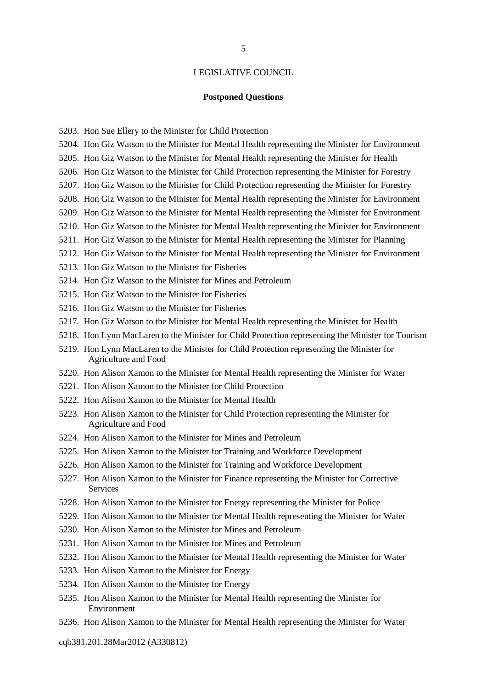#### **Postponed Questions**

- 5203. Hon Sue Ellery to the Minister for Child Protection
- 5204. Hon Giz Watson to the Minister for Mental Health representing the Minister for Environment
- 5205. Hon Giz Watson to the Minister for Mental Health representing the Minister for Health
- 5206. Hon Giz Watson to the Minister for Child Protection representing the Minister for Forestry
- 5207. Hon Giz Watson to the Minister for Child Protection representing the Minister for Forestry
- 5208. Hon Giz Watson to the Minister for Mental Health representing the Minister for Environment
- 5209. Hon Giz Watson to the Minister for Mental Health representing the Minister for Environment
- 5210. Hon Giz Watson to the Minister for Mental Health representing the Minister for Environment
- 5211. Hon Giz Watson to the Minister for Mental Health representing the Minister for Planning
- 5212. Hon Giz Watson to the Minister for Mental Health representing the Minister for Environment
- 5213. Hon Giz Watson to the Minister for Fisheries
- 5214. Hon Giz Watson to the Minister for Mines and Petroleum
- 5215. Hon Giz Watson to the Minister for Fisheries
- 5216. Hon Giz Watson to the Minister for Fisheries
- 5217. Hon Giz Watson to the Minister for Mental Health representing the Minister for Health
- 5218. Hon Lynn MacLaren to the Minister for Child Protection representing the Minister for Tourism
- 5219. Hon Lynn MacLaren to the Minister for Child Protection representing the Minister for Agriculture and Food
- 5220. Hon Alison Xamon to the Minister for Mental Health representing the Minister for Water
- 5221. Hon Alison Xamon to the Minister for Child Protection
- 5222. Hon Alison Xamon to the Minister for Mental Health
- 5223. Hon Alison Xamon to the Minister for Child Protection representing the Minister for Agriculture and Food
- 5224. Hon Alison Xamon to the Minister for Mines and Petroleum
- 5225. Hon Alison Xamon to the Minister for Training and Workforce Development
- 5226. Hon Alison Xamon to the Minister for Training and Workforce Development
- 5227. Hon Alison Xamon to the Minister for Finance representing the Minister for Corrective Services
- 5228. Hon Alison Xamon to the Minister for Energy representing the Minister for Police
- 5229. Hon Alison Xamon to the Minister for Mental Health representing the Minister for Water
- 5230. Hon Alison Xamon to the Minister for Mines and Petroleum
- 5231. Hon Alison Xamon to the Minister for Mines and Petroleum
- 5232. Hon Alison Xamon to the Minister for Mental Health representing the Minister for Water
- 5233. Hon Alison Xamon to the Minister for Energy
- 5234. Hon Alison Xamon to the Minister for Energy
- 5235. Hon Alison Xamon to the Minister for Mental Health representing the Minister for Environment
- 5236. Hon Alison Xamon to the Minister for Mental Health representing the Minister for Water

cqb381.201.28Mar2012 (A330812)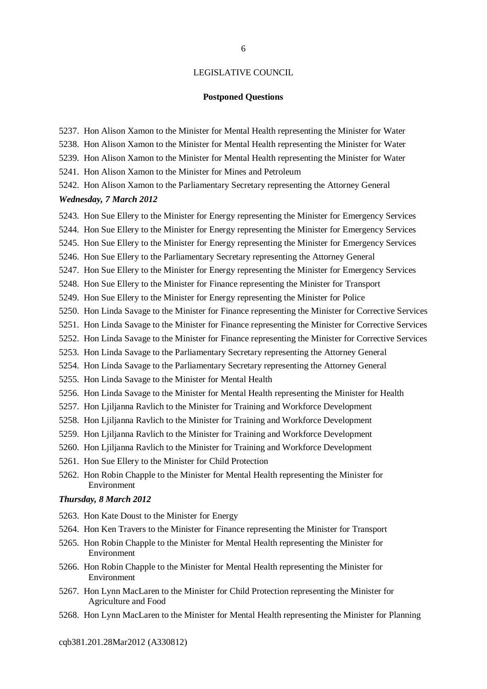#### **Postponed Questions**

- 5237. Hon Alison Xamon to the Minister for Mental Health representing the Minister for Water
- 5238. Hon Alison Xamon to the Minister for Mental Health representing the Minister for Water
- 5239. Hon Alison Xamon to the Minister for Mental Health representing the Minister for Water
- 5241. Hon Alison Xamon to the Minister for Mines and Petroleum
- 5242. Hon Alison Xamon to the Parliamentary Secretary representing the Attorney General

#### *Wednesday, 7 March 2012*

- 5243. Hon Sue Ellery to the Minister for Energy representing the Minister for Emergency Services
- 5244. Hon Sue Ellery to the Minister for Energy representing the Minister for Emergency Services
- 5245. Hon Sue Ellery to the Minister for Energy representing the Minister for Emergency Services
- 5246. Hon Sue Ellery to the Parliamentary Secretary representing the Attorney General
- 5247. Hon Sue Ellery to the Minister for Energy representing the Minister for Emergency Services
- 5248. Hon Sue Ellery to the Minister for Finance representing the Minister for Transport
- 5249. Hon Sue Ellery to the Minister for Energy representing the Minister for Police
- 5250. Hon Linda Savage to the Minister for Finance representing the Minister for Corrective Services
- 5251. Hon Linda Savage to the Minister for Finance representing the Minister for Corrective Services
- 5252. Hon Linda Savage to the Minister for Finance representing the Minister for Corrective Services
- 5253. Hon Linda Savage to the Parliamentary Secretary representing the Attorney General
- 5254. Hon Linda Savage to the Parliamentary Secretary representing the Attorney General
- 5255. Hon Linda Savage to the Minister for Mental Health
- 5256. Hon Linda Savage to the Minister for Mental Health representing the Minister for Health
- 5257. Hon Ljiljanna Ravlich to the Minister for Training and Workforce Development
- 5258. Hon Ljiljanna Ravlich to the Minister for Training and Workforce Development
- 5259. Hon Ljiljanna Ravlich to the Minister for Training and Workforce Development
- 5260. Hon Ljiljanna Ravlich to the Minister for Training and Workforce Development
- 5261. Hon Sue Ellery to the Minister for Child Protection
- 5262. Hon Robin Chapple to the Minister for Mental Health representing the Minister for Environment

#### *Thursday, 8 March 2012*

- 5263. Hon Kate Doust to the Minister for Energy
- 5264. Hon Ken Travers to the Minister for Finance representing the Minister for Transport
- 5265. Hon Robin Chapple to the Minister for Mental Health representing the Minister for Environment
- 5266. Hon Robin Chapple to the Minister for Mental Health representing the Minister for Environment
- 5267. Hon Lynn MacLaren to the Minister for Child Protection representing the Minister for Agriculture and Food
- 5268. Hon Lynn MacLaren to the Minister for Mental Health representing the Minister for Planning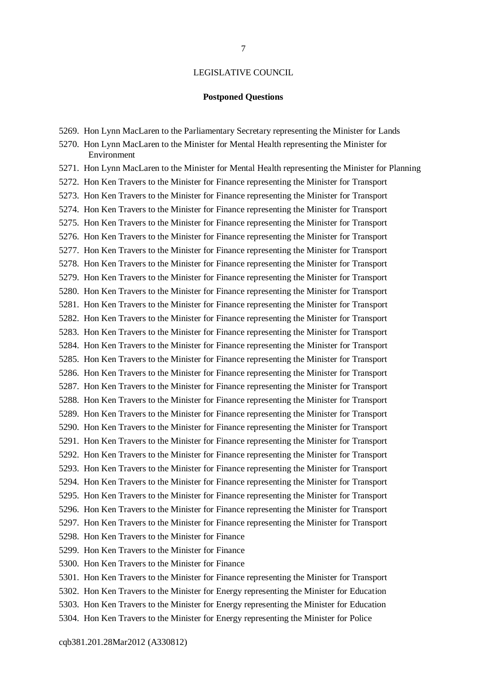#### **Postponed Questions**

5269. Hon Lynn MacLaren to the Parliamentary Secretary representing the Minister for Lands

5270. Hon Lynn MacLaren to the Minister for Mental Health representing the Minister for Environment

5271. Hon Lynn MacLaren to the Minister for Mental Health representing the Minister for Planning 5272. Hon Ken Travers to the Minister for Finance representing the Minister for Transport 5273. Hon Ken Travers to the Minister for Finance representing the Minister for Transport 5274. Hon Ken Travers to the Minister for Finance representing the Minister for Transport 5275. Hon Ken Travers to the Minister for Finance representing the Minister for Transport 5276. Hon Ken Travers to the Minister for Finance representing the Minister for Transport 5277. Hon Ken Travers to the Minister for Finance representing the Minister for Transport 5278. Hon Ken Travers to the Minister for Finance representing the Minister for Transport 5279. Hon Ken Travers to the Minister for Finance representing the Minister for Transport 5280. Hon Ken Travers to the Minister for Finance representing the Minister for Transport 5281. Hon Ken Travers to the Minister for Finance representing the Minister for Transport 5282. Hon Ken Travers to the Minister for Finance representing the Minister for Transport 5283. Hon Ken Travers to the Minister for Finance representing the Minister for Transport 5284. Hon Ken Travers to the Minister for Finance representing the Minister for Transport 5285. Hon Ken Travers to the Minister for Finance representing the Minister for Transport 5286. Hon Ken Travers to the Minister for Finance representing the Minister for Transport 5287. Hon Ken Travers to the Minister for Finance representing the Minister for Transport 5288. Hon Ken Travers to the Minister for Finance representing the Minister for Transport 5289. Hon Ken Travers to the Minister for Finance representing the Minister for Transport 5290. Hon Ken Travers to the Minister for Finance representing the Minister for Transport 5291. Hon Ken Travers to the Minister for Finance representing the Minister for Transport 5292. Hon Ken Travers to the Minister for Finance representing the Minister for Transport 5293. Hon Ken Travers to the Minister for Finance representing the Minister for Transport 5294. Hon Ken Travers to the Minister for Finance representing the Minister for Transport 5295. Hon Ken Travers to the Minister for Finance representing the Minister for Transport 5296. Hon Ken Travers to the Minister for Finance representing the Minister for Transport 5297. Hon Ken Travers to the Minister for Finance representing the Minister for Transport 5298. Hon Ken Travers to the Minister for Finance 5299. Hon Ken Travers to the Minister for Finance

5300. Hon Ken Travers to the Minister for Finance

5301. Hon Ken Travers to the Minister for Finance representing the Minister for Transport 5302. Hon Ken Travers to the Minister for Energy representing the Minister for Education 5303. Hon Ken Travers to the Minister for Energy representing the Minister for Education 5304. Hon Ken Travers to the Minister for Energy representing the Minister for Police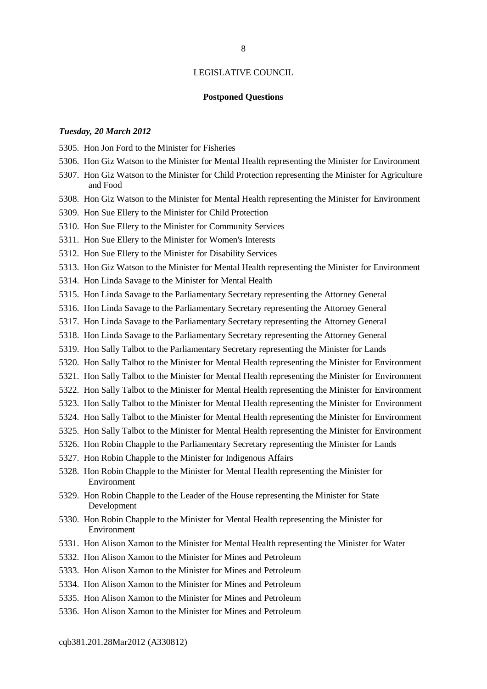#### **Postponed Questions**

#### *Tuesday, 20 March 2012*

5305. Hon Jon Ford to the Minister for Fisheries

- 5306. Hon Giz Watson to the Minister for Mental Health representing the Minister for Environment
- 5307. Hon Giz Watson to the Minister for Child Protection representing the Minister for Agriculture and Food
- 5308. Hon Giz Watson to the Minister for Mental Health representing the Minister for Environment
- 5309. Hon Sue Ellery to the Minister for Child Protection
- 5310. Hon Sue Ellery to the Minister for Community Services
- 5311. Hon Sue Ellery to the Minister for Women's Interests
- 5312. Hon Sue Ellery to the Minister for Disability Services
- 5313. Hon Giz Watson to the Minister for Mental Health representing the Minister for Environment
- 5314. Hon Linda Savage to the Minister for Mental Health
- 5315. Hon Linda Savage to the Parliamentary Secretary representing the Attorney General
- 5316. Hon Linda Savage to the Parliamentary Secretary representing the Attorney General
- 5317. Hon Linda Savage to the Parliamentary Secretary representing the Attorney General
- 5318. Hon Linda Savage to the Parliamentary Secretary representing the Attorney General
- 5319. Hon Sally Talbot to the Parliamentary Secretary representing the Minister for Lands
- 5320. Hon Sally Talbot to the Minister for Mental Health representing the Minister for Environment
- 5321. Hon Sally Talbot to the Minister for Mental Health representing the Minister for Environment
- 5322. Hon Sally Talbot to the Minister for Mental Health representing the Minister for Environment
- 5323. Hon Sally Talbot to the Minister for Mental Health representing the Minister for Environment
- 5324. Hon Sally Talbot to the Minister for Mental Health representing the Minister for Environment
- 5325. Hon Sally Talbot to the Minister for Mental Health representing the Minister for Environment
- 5326. Hon Robin Chapple to the Parliamentary Secretary representing the Minister for Lands
- 5327. Hon Robin Chapple to the Minister for Indigenous Affairs
- 5328. Hon Robin Chapple to the Minister for Mental Health representing the Minister for Environment
- 5329. Hon Robin Chapple to the Leader of the House representing the Minister for State Development
- 5330. Hon Robin Chapple to the Minister for Mental Health representing the Minister for Environment
- 5331. Hon Alison Xamon to the Minister for Mental Health representing the Minister for Water
- 5332. Hon Alison Xamon to the Minister for Mines and Petroleum
- 5333. Hon Alison Xamon to the Minister for Mines and Petroleum
- 5334. Hon Alison Xamon to the Minister for Mines and Petroleum
- 5335. Hon Alison Xamon to the Minister for Mines and Petroleum
- 5336. Hon Alison Xamon to the Minister for Mines and Petroleum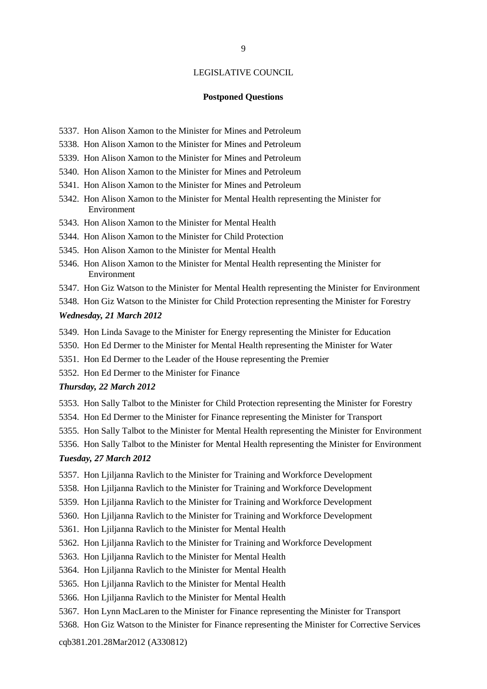#### **Postponed Questions**

- 5337. Hon Alison Xamon to the Minister for Mines and Petroleum
- 5338. Hon Alison Xamon to the Minister for Mines and Petroleum
- 5339. Hon Alison Xamon to the Minister for Mines and Petroleum
- 5340. Hon Alison Xamon to the Minister for Mines and Petroleum
- 5341. Hon Alison Xamon to the Minister for Mines and Petroleum
- 5342. Hon Alison Xamon to the Minister for Mental Health representing the Minister for Environment
- 5343. Hon Alison Xamon to the Minister for Mental Health
- 5344. Hon Alison Xamon to the Minister for Child Protection
- 5345. Hon Alison Xamon to the Minister for Mental Health
- 5346. Hon Alison Xamon to the Minister for Mental Health representing the Minister for Environment
- 5347. Hon Giz Watson to the Minister for Mental Health representing the Minister for Environment
- 5348. Hon Giz Watson to the Minister for Child Protection representing the Minister for Forestry

#### *Wednesday, 21 March 2012*

- 5349. Hon Linda Savage to the Minister for Energy representing the Minister for Education
- 5350. Hon Ed Dermer to the Minister for Mental Health representing the Minister for Water
- 5351. Hon Ed Dermer to the Leader of the House representing the Premier
- 5352. Hon Ed Dermer to the Minister for Finance

#### *Thursday, 22 March 2012*

- 5353. Hon Sally Talbot to the Minister for Child Protection representing the Minister for Forestry
- 5354. Hon Ed Dermer to the Minister for Finance representing the Minister for Transport
- 5355. Hon Sally Talbot to the Minister for Mental Health representing the Minister for Environment
- 5356. Hon Sally Talbot to the Minister for Mental Health representing the Minister for Environment

#### *Tuesday, 27 March 2012*

- 5357. Hon Ljiljanna Ravlich to the Minister for Training and Workforce Development
- 5358. Hon Ljiljanna Ravlich to the Minister for Training and Workforce Development
- 5359. Hon Ljiljanna Ravlich to the Minister for Training and Workforce Development
- 5360. Hon Ljiljanna Ravlich to the Minister for Training and Workforce Development
- 5361. Hon Ljiljanna Ravlich to the Minister for Mental Health
- 5362. Hon Ljiljanna Ravlich to the Minister for Training and Workforce Development
- 5363. Hon Ljiljanna Ravlich to the Minister for Mental Health
- 5364. Hon Ljiljanna Ravlich to the Minister for Mental Health
- 5365. Hon Ljiljanna Ravlich to the Minister for Mental Health
- 5366. Hon Ljiljanna Ravlich to the Minister for Mental Health
- 5367. Hon Lynn MacLaren to the Minister for Finance representing the Minister for Transport
- 5368. Hon Giz Watson to the Minister for Finance representing the Minister for Corrective Services

#### cqb381.201.28Mar2012 (A330812)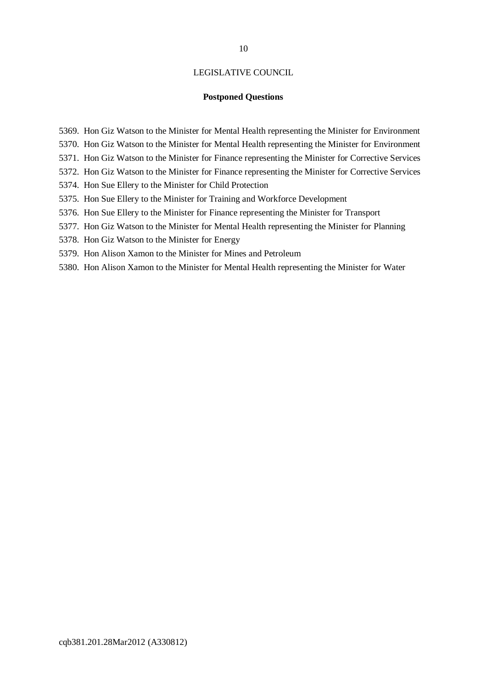#### **Postponed Questions**

- 5369. Hon Giz Watson to the Minister for Mental Health representing the Minister for Environment
- 5370. Hon Giz Watson to the Minister for Mental Health representing the Minister for Environment
- 5371. Hon Giz Watson to the Minister for Finance representing the Minister for Corrective Services
- 5372. Hon Giz Watson to the Minister for Finance representing the Minister for Corrective Services
- 5374. Hon Sue Ellery to the Minister for Child Protection
- 5375. Hon Sue Ellery to the Minister for Training and Workforce Development
- 5376. Hon Sue Ellery to the Minister for Finance representing the Minister for Transport
- 5377. Hon Giz Watson to the Minister for Mental Health representing the Minister for Planning
- 5378. Hon Giz Watson to the Minister for Energy
- 5379. Hon Alison Xamon to the Minister for Mines and Petroleum
- 5380. Hon Alison Xamon to the Minister for Mental Health representing the Minister for Water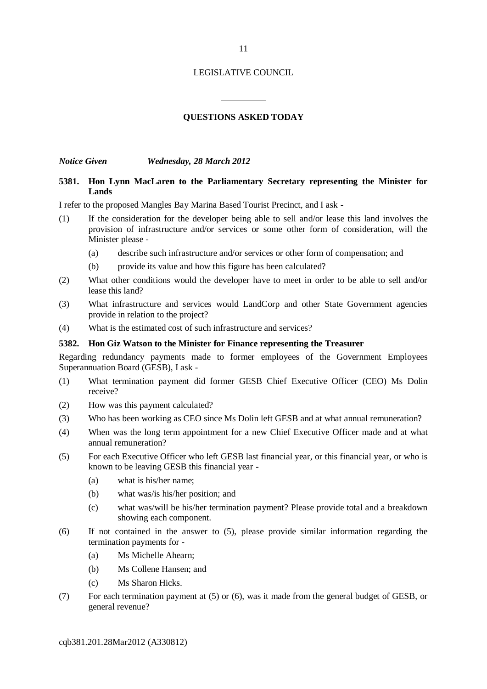#### **QUESTIONS ASKED TODAY**

 $\overline{a}$ 

 $\overline{a}$ 

*Notice Given Wednesday, 28 March 2012*

#### **5381. Hon Lynn MacLaren to the Parliamentary Secretary representing the Minister for Lands**

I refer to the proposed Mangles Bay Marina Based Tourist Precinct, and I ask -

- (1) If the consideration for the developer being able to sell and/or lease this land involves the provision of infrastructure and/or services or some other form of consideration, will the Minister please -
	- (a) describe such infrastructure and/or services or other form of compensation; and
	- (b) provide its value and how this figure has been calculated?
- (2) What other conditions would the developer have to meet in order to be able to sell and/or lease this land?
- (3) What infrastructure and services would LandCorp and other State Government agencies provide in relation to the project?
- (4) What is the estimated cost of such infrastructure and services?

#### **5382. Hon Giz Watson to the Minister for Finance representing the Treasurer**

Regarding redundancy payments made to former employees of the Government Employees Superannuation Board (GESB), I ask -

- (1) What termination payment did former GESB Chief Executive Officer (CEO) Ms Dolin receive?
- (2) How was this payment calculated?
- (3) Who has been working as CEO since Ms Dolin left GESB and at what annual remuneration?
- (4) When was the long term appointment for a new Chief Executive Officer made and at what annual remuneration?
- (5) For each Executive Officer who left GESB last financial year, or this financial year, or who is known to be leaving GESB this financial year -
	- (a) what is his/her name;
	- (b) what was/is his/her position; and
	- (c) what was/will be his/her termination payment? Please provide total and a breakdown showing each component.
- (6) If not contained in the answer to (5), please provide similar information regarding the termination payments for -
	- (a) Ms Michelle Ahearn;
	- (b) Ms Collene Hansen; and
	- (c) Ms Sharon Hicks.
- (7) For each termination payment at (5) or (6), was it made from the general budget of GESB, or general revenue?

cqb381.201.28Mar2012 (A330812)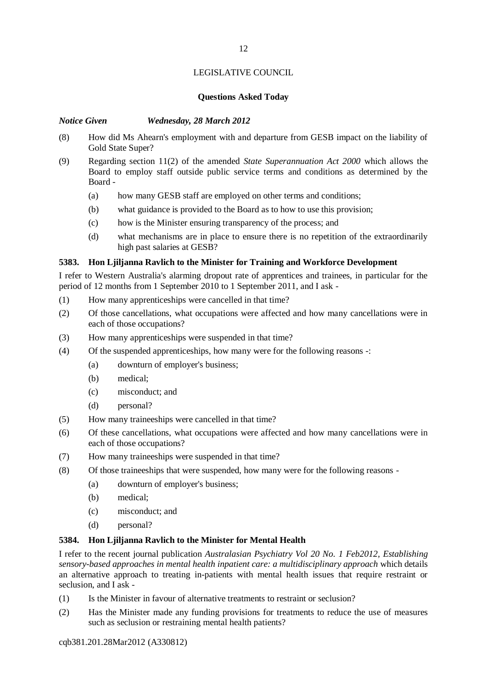#### **Questions Asked Today**

#### *Notice Given Wednesday, 28 March 2012*

- (8) How did Ms Ahearn's employment with and departure from GESB impact on the liability of Gold State Super?
- (9) Regarding section 11(2) of the amended *State Superannuation Act 2000* which allows the Board to employ staff outside public service terms and conditions as determined by the Board -
	- (a) how many GESB staff are employed on other terms and conditions;
	- (b) what guidance is provided to the Board as to how to use this provision;
	- (c) how is the Minister ensuring transparency of the process; and
	- (d) what mechanisms are in place to ensure there is no repetition of the extraordinarily high past salaries at GESB?

#### **5383. Hon Ljiljanna Ravlich to the Minister for Training and Workforce Development**

I refer to Western Australia's alarming dropout rate of apprentices and trainees, in particular for the period of 12 months from 1 September 2010 to 1 September 2011, and I ask -

- (1) How many apprenticeships were cancelled in that time?
- (2) Of those cancellations, what occupations were affected and how many cancellations were in each of those occupations?
- (3) How many apprenticeships were suspended in that time?
- (4) Of the suspended apprenticeships, how many were for the following reasons -:
	- (a) downturn of employer's business;
	- (b) medical;
	- (c) misconduct; and
	- (d) personal?
- (5) How many traineeships were cancelled in that time?
- (6) Of these cancellations, what occupations were affected and how many cancellations were in each of those occupations?
- (7) How many traineeships were suspended in that time?
- (8) Of those traineeships that were suspended, how many were for the following reasons
	- (a) downturn of employer's business;
		- (b) medical;
		- (c) misconduct; and
		- (d) personal?

#### **5384. Hon Ljiljanna Ravlich to the Minister for Mental Health**

I refer to the recent journal publication *Australasian Psychiatry Vol 20 No. 1 Feb2012, Establishing sensory-based approaches in mental health inpatient care: a multidisciplinary approach* which details an alternative approach to treating in-patients with mental health issues that require restraint or seclusion, and I ask -

- (1) Is the Minister in favour of alternative treatments to restraint or seclusion?
- (2) Has the Minister made any funding provisions for treatments to reduce the use of measures such as seclusion or restraining mental health patients?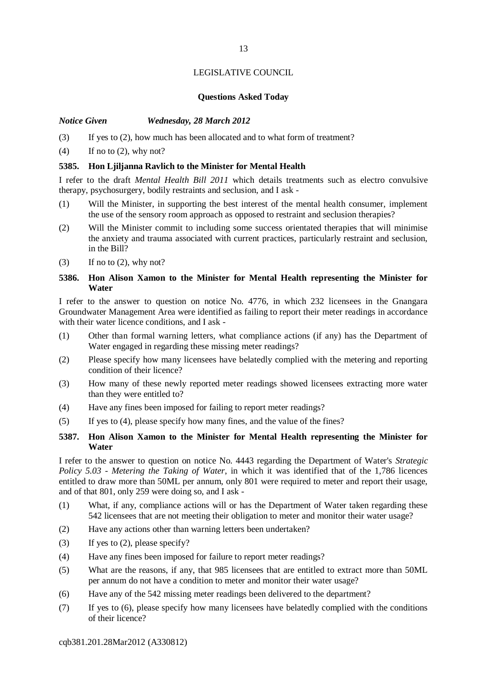### **Questions Asked Today**

#### *Notice Given Wednesday, 28 March 2012*

(3) If yes to (2), how much has been allocated and to what form of treatment?

 $(4)$  If no to  $(2)$ , why not?

#### **5385. Hon Ljiljanna Ravlich to the Minister for Mental Health**

I refer to the draft *Mental Health Bill 2011* which details treatments such as electro convulsive therapy, psychosurgery, bodily restraints and seclusion, and I ask -

- (1) Will the Minister, in supporting the best interest of the mental health consumer, implement the use of the sensory room approach as opposed to restraint and seclusion therapies?
- (2) Will the Minister commit to including some success orientated therapies that will minimise the anxiety and trauma associated with current practices, particularly restraint and seclusion, in the Bill?
- $(3)$  If no to  $(2)$ , why not?

#### **5386. Hon Alison Xamon to the Minister for Mental Health representing the Minister for Water**

I refer to the answer to question on notice No. 4776, in which 232 licensees in the Gnangara Groundwater Management Area were identified as failing to report their meter readings in accordance with their water licence conditions, and I ask -

- (1) Other than formal warning letters, what compliance actions (if any) has the Department of Water engaged in regarding these missing meter readings?
- (2) Please specify how many licensees have belatedly complied with the metering and reporting condition of their licence?
- (3) How many of these newly reported meter readings showed licensees extracting more water than they were entitled to?
- (4) Have any fines been imposed for failing to report meter readings?
- (5) If yes to (4), please specify how many fines, and the value of the fines?

#### **5387. Hon Alison Xamon to the Minister for Mental Health representing the Minister for Water**

I refer to the answer to question on notice No. 4443 regarding the Department of Water's *Strategic Policy 5.03 - Metering the Taking of Water*, in which it was identified that of the 1,786 licences entitled to draw more than 50ML per annum, only 801 were required to meter and report their usage, and of that 801, only 259 were doing so, and I ask -

- (1) What, if any, compliance actions will or has the Department of Water taken regarding these 542 licensees that are not meeting their obligation to meter and monitor their water usage?
- (2) Have any actions other than warning letters been undertaken?
- (3) If yes to (2), please specify?
- (4) Have any fines been imposed for failure to report meter readings?
- (5) What are the reasons, if any, that 985 licensees that are entitled to extract more than 50ML per annum do not have a condition to meter and monitor their water usage?
- (6) Have any of the 542 missing meter readings been delivered to the department?
- (7) If yes to (6), please specify how many licensees have belatedly complied with the conditions of their licence?